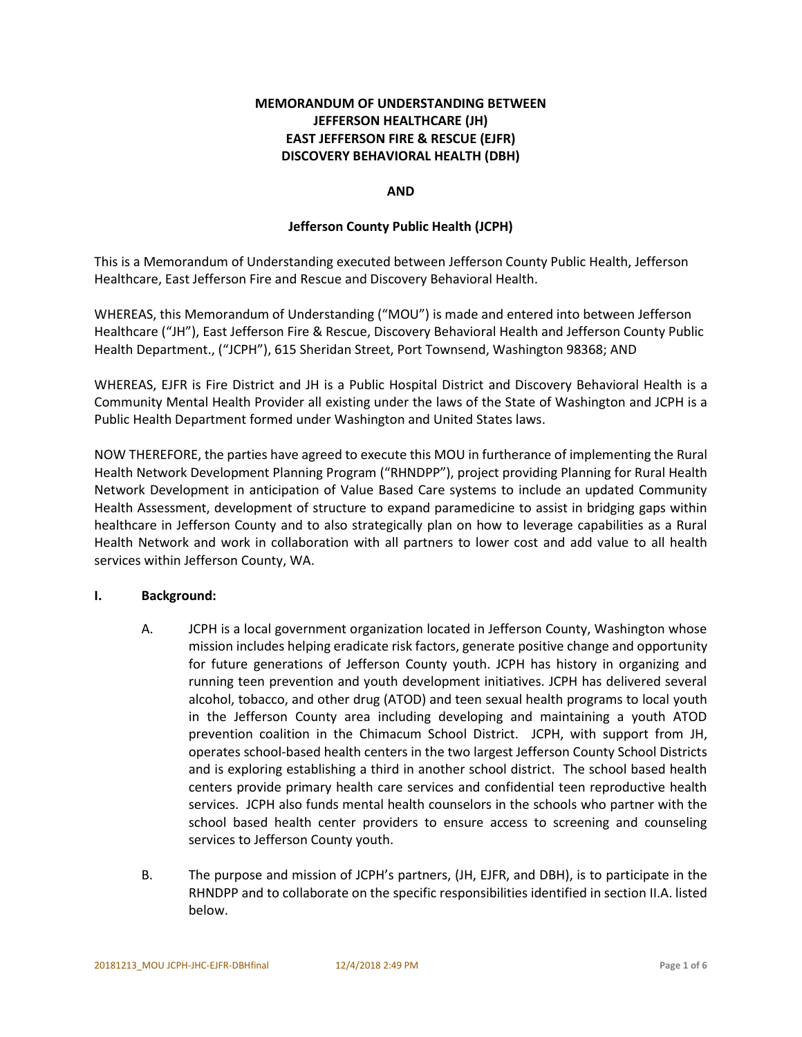# **MEMORANDUM OF UNDERSTANDING BETWEEN JEFFERSON HEALTHCARE (JH) EAST JEFFERSON FIRE & RESCUE (EJFR) DISCOVERY BEHAVIORAL HEALTH (DBH)**

## **AND**

## **Jefferson County Public Health (JCPH)**

This is a Memorandum of Understanding executed between Jefferson County Public Health, Jefferson Healthcare, East Jefferson Fire and Rescue and Discovery Behavioral Health.

WHEREAS, this Memorandum of Understanding ("MOU") is made and entered into between Jefferson Healthcare ("JH"), East Jefferson Fire & Rescue, Discovery Behavioral Health and Jefferson County Public Health Department., ("JCPH"), 615 Sheridan Street, Port Townsend, Washington 98368; AND

WHEREAS, EJFR is Fire District and JH is a Public Hospital District and Discovery Behavioral Health is a Community Mental Health Provider all existing under the laws of the State of Washington and JCPH is a Public Health Department formed under Washington and United States laws.

NOW THEREFORE, the parties have agreed to execute this MOU in furtherance of implementing the Rural Health Network Development Planning Program ("RHNDPP"), project providing Planning for Rural Health Network Development in anticipation of Value Based Care systems to include an updated Community Health Assessment, development of structure to expand paramedicine to assist in bridging gaps within healthcare in Jefferson County and to also strategically plan on how to leverage capabilities as a Rural Health Network and work in collaboration with all partners to lower cost and add value to all health services within Jefferson County, WA.

### **I. Background:**

- A. JCPH is a local government organization located in Jefferson County, Washington whose mission includes helping eradicate risk factors, generate positive change and opportunity for future generations of Jefferson County youth. JCPH has history in organizing and running teen prevention and youth development initiatives. JCPH has delivered several alcohol, tobacco, and other drug (ATOD) and teen sexual health programs to local youth in the Jefferson County area including developing and maintaining a youth ATOD prevention coalition in the Chimacum School District. JCPH, with support from JH, operates school-based health centers in the two largest Jefferson County School Districts and is exploring establishing a third in another school district. The school based health centers provide primary health care services and confidential teen reproductive health services. JCPH also funds mental health counselors in the schools who partner with the school based health center providers to ensure access to screening and counseling services to Jefferson County youth.
- B. The purpose and mission of JCPH's partners, (JH, EJFR, and DBH), is to participate in the RHNDPP and to collaborate on the specific responsibilities identified in section II.A. listed below.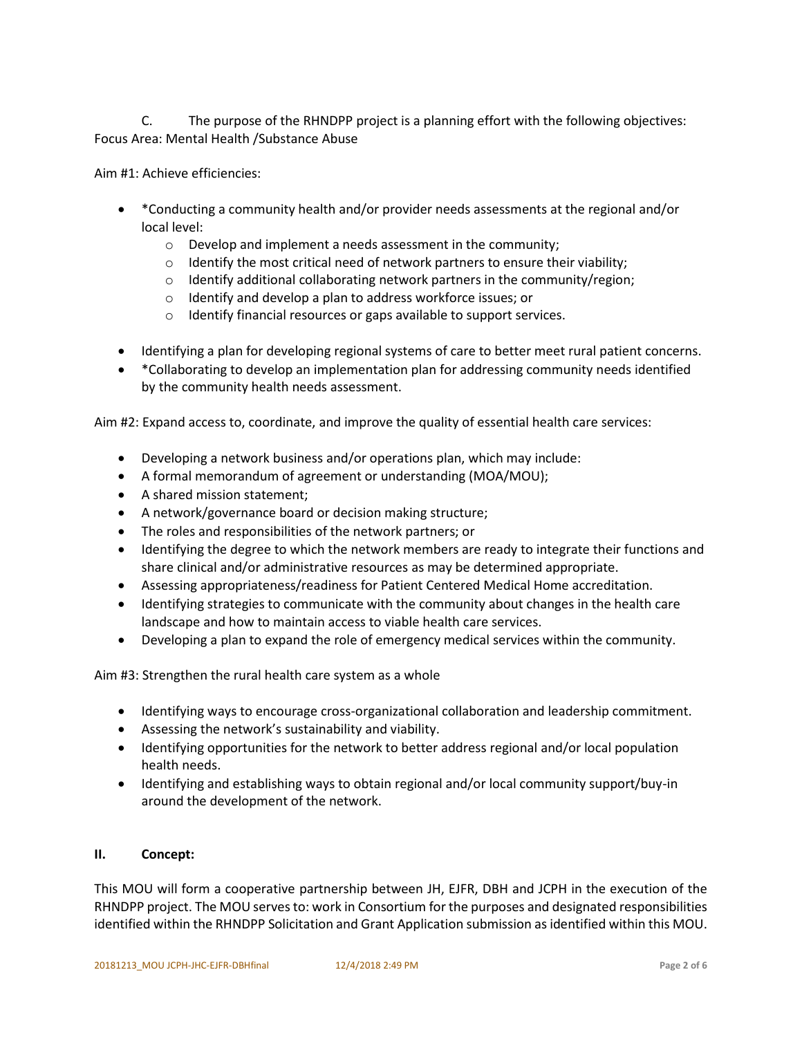C. The purpose of the RHNDPP project is a planning effort with the following objectives: Focus Area: Mental Health /Substance Abuse

Aim #1: Achieve efficiencies:

- \*Conducting a community health and/or provider needs assessments at the regional and/or local level:
	- o Develop and implement a needs assessment in the community;
	- $\circ$  Identify the most critical need of network partners to ensure their viability;
	- o Identify additional collaborating network partners in the community/region;
	- o Identify and develop a plan to address workforce issues; or
	- o Identify financial resources or gaps available to support services.
- Identifying a plan for developing regional systems of care to better meet rural patient concerns.
- \*Collaborating to develop an implementation plan for addressing community needs identified by the community health needs assessment.

Aim #2: Expand access to, coordinate, and improve the quality of essential health care services:

- Developing a network business and/or operations plan, which may include:
- A formal memorandum of agreement or understanding (MOA/MOU);
- A shared mission statement;
- A network/governance board or decision making structure;
- The roles and responsibilities of the network partners; or
- Identifying the degree to which the network members are ready to integrate their functions and share clinical and/or administrative resources as may be determined appropriate.
- Assessing appropriateness/readiness for Patient Centered Medical Home accreditation.
- Identifying strategies to communicate with the community about changes in the health care landscape and how to maintain access to viable health care services.
- Developing a plan to expand the role of emergency medical services within the community.

Aim #3: Strengthen the rural health care system as a whole

- Identifying ways to encourage cross-organizational collaboration and leadership commitment.
- Assessing the network's sustainability and viability.
- Identifying opportunities for the network to better address regional and/or local population health needs.
- Identifying and establishing ways to obtain regional and/or local community support/buy-in around the development of the network.

### **II. Concept:**

This MOU will form a cooperative partnership between JH, EJFR, DBH and JCPH in the execution of the RHNDPP project. The MOU serves to: work in Consortium for the purposes and designated responsibilities identified within the RHNDPP Solicitation and Grant Application submission as identified within this MOU.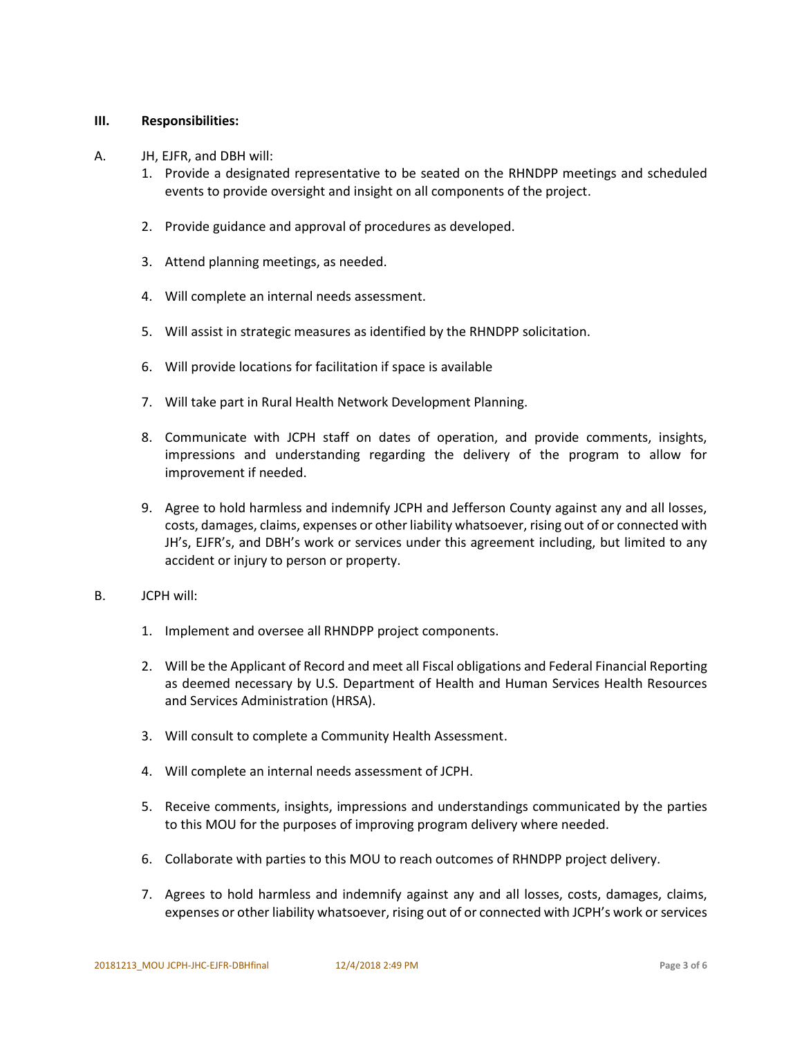#### **III. Responsibilities:**

- A. JH, EJFR, and DBH will:
	- 1. Provide a designated representative to be seated on the RHNDPP meetings and scheduled events to provide oversight and insight on all components of the project.
	- 2. Provide guidance and approval of procedures as developed.
	- 3. Attend planning meetings, as needed.
	- 4. Will complete an internal needs assessment.
	- 5. Will assist in strategic measures as identified by the RHNDPP solicitation.
	- 6. Will provide locations for facilitation if space is available
	- 7. Will take part in Rural Health Network Development Planning.
	- 8. Communicate with JCPH staff on dates of operation, and provide comments, insights, impressions and understanding regarding the delivery of the program to allow for improvement if needed.
	- 9. Agree to hold harmless and indemnify JCPH and Jefferson County against any and all losses, costs, damages, claims, expenses or other liability whatsoever, rising out of or connected with JH's, EJFR's, and DBH's work or services under this agreement including, but limited to any accident or injury to person or property.
- B. JCPH will:
	- 1. Implement and oversee all RHNDPP project components.
	- 2. Will be the Applicant of Record and meet all Fiscal obligations and Federal Financial Reporting as deemed necessary by U.S. Department of Health and Human Services Health Resources and Services Administration (HRSA).
	- 3. Will consult to complete a Community Health Assessment.
	- 4. Will complete an internal needs assessment of JCPH.
	- 5. Receive comments, insights, impressions and understandings communicated by the parties to this MOU for the purposes of improving program delivery where needed.
	- 6. Collaborate with parties to this MOU to reach outcomes of RHNDPP project delivery.
	- 7. Agrees to hold harmless and indemnify against any and all losses, costs, damages, claims, expenses or other liability whatsoever, rising out of or connected with JCPH's work or services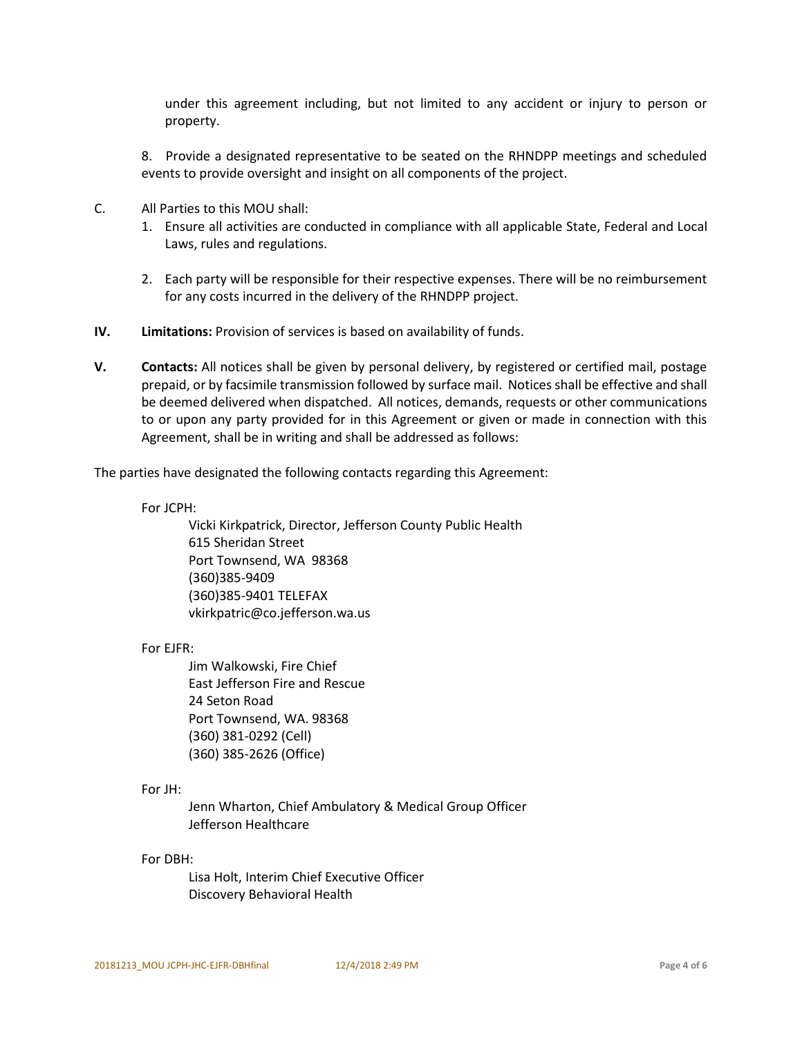under this agreement including, but not limited to any accident or injury to person or property.

8. Provide a designated representative to be seated on the RHNDPP meetings and scheduled events to provide oversight and insight on all components of the project.

- C. All Parties to this MOU shall:
	- 1. Ensure all activities are conducted in compliance with all applicable State, Federal and Local Laws, rules and regulations.
	- 2. Each party will be responsible for their respective expenses. There will be no reimbursement for any costs incurred in the delivery of the RHNDPP project.
- **IV. Limitations:** Provision of services is based on availability of funds.
- **V. Contacts:** All notices shall be given by personal delivery, by registered or certified mail, postage prepaid, or by facsimile transmission followed by surface mail. Notices shall be effective and shall be deemed delivered when dispatched. All notices, demands, requests or other communications to or upon any party provided for in this Agreement or given or made in connection with this Agreement, shall be in writing and shall be addressed as follows:

The parties have designated the following contacts regarding this Agreement:

For JCPH:

Vicki Kirkpatrick, Director, Jefferson County Public Health 615 Sheridan Street Port Townsend, WA 98368 (360)385-9409 (360)385-9401 TELEFAX vkirkpatric@co.jefferson.wa.us

For EJFR:

Jim Walkowski, Fire Chief East Jefferson Fire and Rescue 24 Seton Road Port Townsend, WA. 98368 (360) 381-0292 (Cell) (360) 385-2626 (Office)

For JH:

Jenn Wharton, Chief Ambulatory & Medical Group Officer Jefferson Healthcare

For DBH:

Lisa Holt, Interim Chief Executive Officer Discovery Behavioral Health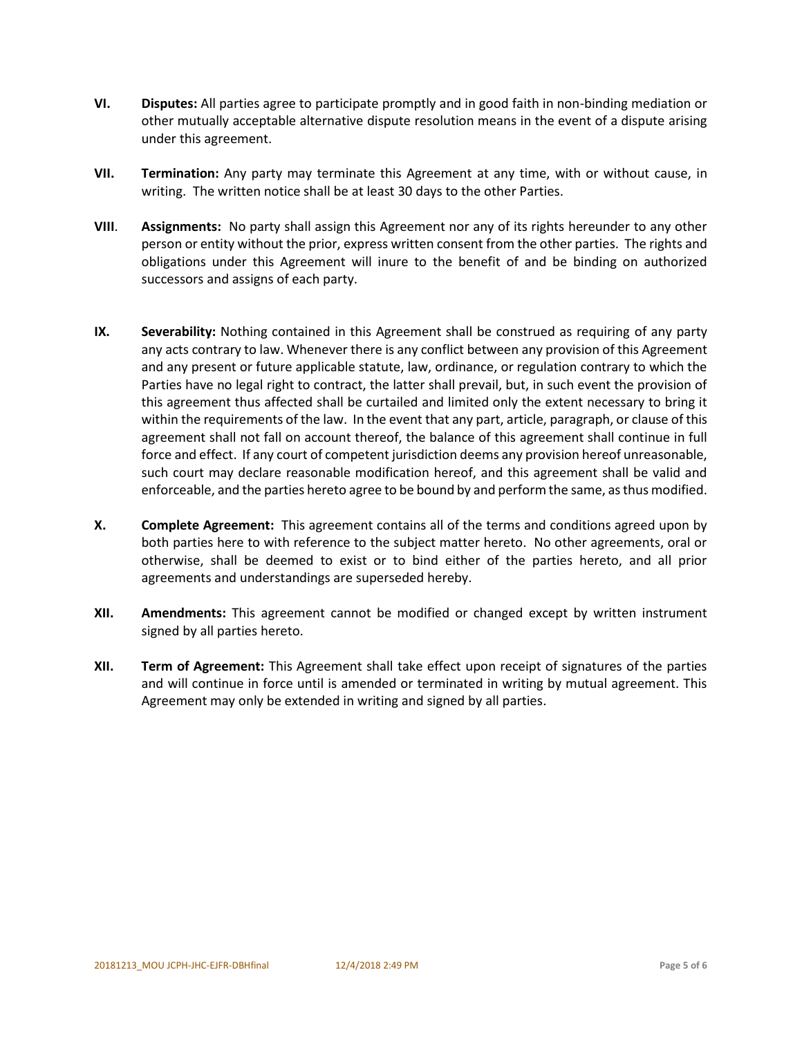- **VI. Disputes:** All parties agree to participate promptly and in good faith in non-binding mediation or other mutually acceptable alternative dispute resolution means in the event of a dispute arising under this agreement.
- **VII. Termination:** Any party may terminate this Agreement at any time, with or without cause, in writing. The written notice shall be at least 30 days to the other Parties.
- **VIII**. **Assignments:** No party shall assign this Agreement nor any of its rights hereunder to any other person or entity without the prior, express written consent from the other parties. The rights and obligations under this Agreement will inure to the benefit of and be binding on authorized successors and assigns of each party.
- **IX. Severability:** Nothing contained in this Agreement shall be construed as requiring of any party any acts contrary to law. Whenever there is any conflict between any provision of this Agreement and any present or future applicable statute, law, ordinance, or regulation contrary to which the Parties have no legal right to contract, the latter shall prevail, but, in such event the provision of this agreement thus affected shall be curtailed and limited only the extent necessary to bring it within the requirements of the law. In the event that any part, article, paragraph, or clause of this agreement shall not fall on account thereof, the balance of this agreement shall continue in full force and effect. If any court of competent jurisdiction deems any provision hereof unreasonable, such court may declare reasonable modification hereof, and this agreement shall be valid and enforceable, and the parties hereto agree to be bound by and perform the same, as thus modified.
- **X. Complete Agreement:** This agreement contains all of the terms and conditions agreed upon by both parties here to with reference to the subject matter hereto. No other agreements, oral or otherwise, shall be deemed to exist or to bind either of the parties hereto, and all prior agreements and understandings are superseded hereby.
- **XII. Amendments:** This agreement cannot be modified or changed except by written instrument signed by all parties hereto.
- **XII. Term of Agreement:** This Agreement shall take effect upon receipt of signatures of the parties and will continue in force until is amended or terminated in writing by mutual agreement. This Agreement may only be extended in writing and signed by all parties.